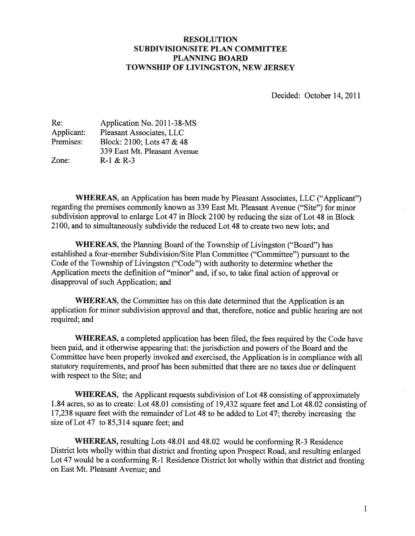## RESOLUTION SUBDIVISION/SITE PLAN COMMITTEE PLANNING BOARD TOWNSHIP OF LIVINGSTON, NEW JERSEY

Decided: October 14, 2011

| Re:        | Application No. 2011-38-MS   |
|------------|------------------------------|
| Applicant: | Pleasant Associates, LLC     |
| Premises:  | Block: 2100; Lots 47 & 48    |
|            | 339 East Mt. Pleasant Avenue |
| Zone:      | $R-1 & 8R-3$                 |

WHEREAS, an Application has been made by Pleasant Associates, LLC ("Applicant") regarding the premises commonly known as 339 East Mt. Pleasant Avenue ("Site") for minor subdivision approval to enlarge Lot 47 in Block 2100 by reducing the size of Lot 48 in Block 2100, and to simultaneously subdivide the reduced Lot 48 to create two new lots; and

WHEREAS, the Planning Board of the Township of Livingston ("Board") has established a four-member Subdivision/Site Plan Committee ("Committee") pursuant to the Code of the Township of Livingston ("Code") with authority to determine whether the Application meets the definition of "minor" and, if so, to take final action of approval or disapproval of such Application; and

WHEREAS, the Committee has on this date determined that the Application is an application for minor subdivision approva<sup>l</sup> and that, therefore, notice and public hearing are not required; and

WHEREAS, <sup>a</sup> completed application has been filed, the fees required by the Code have been paid, and it otherwise appearing that: the jurisdiction and powers of the Board and the Committee have been properly invoked and exercised, the Application is in compliance with all statutory requirements, and proof has been submitted that there are no taxes due or delinquent with respect to the Site; and

WHEREAS, the Applicant requests subdivision of Lot 48 consisting of approximately 1.84 acres, so as to create: Lot 48.01 consisting of 19,432 square feet and Lot 48.02 consisting of 17,238 square feet with the remainder of Lot <sup>48</sup> to be added to Lot 47; thereby increasing the size of Lot 47 to 85,314 square feet; and

WHEREAS, resulting Lots 48.01 and 48.02 would be conforming R-3 Residence District lots wholly within that district and fronting upon Prospect Road, and resulting enlarged Lot <sup>47</sup> would be <sup>a</sup> conforming R-1 Residence District lot wholly within that district and fronting on East Mt. Pleasant Avenue; and

1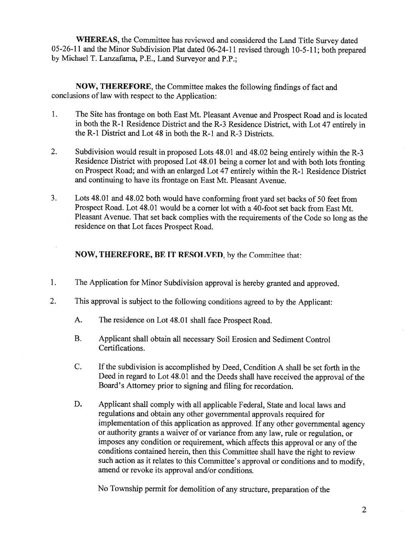WHEREAS, the Committee has reviewed and considered the Land Title Survey dated 05-26-11 and the Minor Subdivision Plat dated 06-24-11 revised through 10-5-11; both prepared by Michael T. Lanzafama, P.E., Land Surveyor and P.P.;

NOW, THEREFORE, the Committee makes the following findings of fact and conclusions of law with respect to the Application:

- 1. The Site has frontage on both East Mt. Pleasant Avenue and Prospect Road and is located in both the R-1 Residence District and the R-3 Residence District, with Lot 47 entirely in the R-l District and Lot 48 in both the R-l and R-3 Districts.
- 2. Subdivision would result in proposed Lots 48.01 and 48.02 being entirely within the R-3 Residence District with proposed Lot 48.01 being <sup>a</sup> corner lot and with both lots fronting on Prospect Road; and with an enlarged Lot <sup>47</sup> entirely within the R-1 Residence District and continuing to have its frontage on East Mt. Pleasant Avenue.
- 3. Lots 48.01 and 48.02 both would have conforming front yard set backs of <sup>50</sup> feet from Prospect Road. Lot 48.01 would be <sup>a</sup> corner lot with <sup>a</sup> 40-foot set back from East Mt. Pleasant Avenue. That set back complies with the requirements of the Code so long as the residence on that Lot faces Prospect Road.

NOW, THEREFORE, BE IT RESOLVED, by the Committee that:

- 1. The Application for Minor Subdivision approval is hereby granted and approved.
- 2. This approval is subject to the following conditions agreed to by the Applicant:
	- A. The residence on Lot 48.01 shall face Prospect Road.
	- B. Applicant shall obtain all necessary Soil Erosion and Sediment Control Certifications.
	- C. If the subdivision is accomplished by Deed, Condition <sup>A</sup> shall be set forth in the Deed in regard to Lot 48.01 and the Deeds shall have received the approval of the Board's Attorney prior to signing and filing for recordation.
	- D. Applicant shall comply with all applicable Federal, State and local laws and regulations and obtain any other governmental approvals required for implementation of this application as approved. If any other governmental agency or authority grants <sup>a</sup> waiver of or variance from any law, rule or regulation, or imposes any condition or requirement, which affects this approval or any of the conditions contained herein, then this Committee shall have the right to review such action as it relates to this Committee's approval or conditions and to modify, amend or revoke its approval and/or conditions.

No Township permit for demolition of any structure, preparation of the